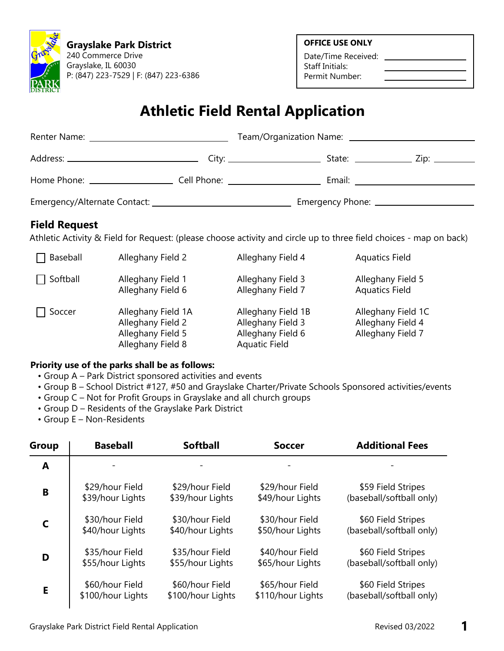

**Grayslake Park District** 240 Commerce Drive Grayslake, IL 60030 P: (847) 223-7529 | F: (847) 223-6386 **OFFICE USE ONLY**

Date/Time Received: Staff Initials: Permit Number:

# **Athletic Field Rental Application**

|                                         |                                | State: ____________________ Zip: ___________                                                                                                                                                                                  |
|-----------------------------------------|--------------------------------|-------------------------------------------------------------------------------------------------------------------------------------------------------------------------------------------------------------------------------|
| Home Phone: <u>____________________</u> | Cell Phone: __________________ | Email: Email: All and the second second second second second second second second second second second second second second second second second second second second second second second second second second second second |
|                                         |                                |                                                                                                                                                                                                                               |

## **Field Request**

Athletic Activity & Field for Request: (please choose activity and circle up to three field choices - map on back)

| Baseball      | Alleghany Field 2                                                                 | Alleghany Field 4                                                                    | <b>Aquatics Field</b>                                        |
|---------------|-----------------------------------------------------------------------------------|--------------------------------------------------------------------------------------|--------------------------------------------------------------|
| Softball      | Alleghany Field 1<br>Alleghany Field 6                                            | Alleghany Field 3<br>Alleghany Field 7                                               | Alleghany Field 5<br><b>Aquatics Field</b>                   |
| $\Box$ Soccer | Alleghany Field 1A<br>Alleghany Field 2<br>Alleghany Field 5<br>Alleghany Field 8 | Alleghany Field 1B<br>Alleghany Field 3<br>Alleghany Field 6<br><b>Aquatic Field</b> | Alleghany Field 1C<br>Alleghany Field 4<br>Alleghany Field 7 |

#### **Priority use of the parks shall be as follows:**

- Group A Park District sponsored activities and events
- Group B School District #127, #50 and Grayslake Charter/Private Schools Sponsored activities/events
- Group C Not for Profit Groups in Grayslake and all church groups
- Group D Residents of the Grayslake Park District
- Group E Non-Residents

| <b>Group</b> | <b>Baseball</b>   | <b>Softball</b>   | <b>Soccer</b>     | <b>Additional Fees</b>   |
|--------------|-------------------|-------------------|-------------------|--------------------------|
| A            |                   |                   |                   |                          |
| B            | \$29/hour Field   | \$29/hour Field   | \$29/hour Field   | \$59 Field Stripes       |
|              | \$39/hour Lights  | \$39/hour Lights  | \$49/hour Lights  | (baseball/softball only) |
| $\mathsf{C}$ | \$30/hour Field   | \$30/hour Field   | \$30/hour Field   | \$60 Field Stripes       |
|              | \$40/hour Lights  | \$40/hour Lights  | \$50/hour Lights  | (baseball/softball only) |
| D            | \$35/hour Field   | \$35/hour Field   | \$40/hour Field   | \$60 Field Stripes       |
|              | \$55/hour Lights  | \$55/hour Lights  | \$65/hour Lights  | (baseball/softball only) |
| E            | \$60/hour Field   | \$60/hour Field   | \$65/hour Field   | \$60 Field Stripes       |
|              | \$100/hour Lights | \$100/hour Lights | \$110/hour Lights | (baseball/softball only) |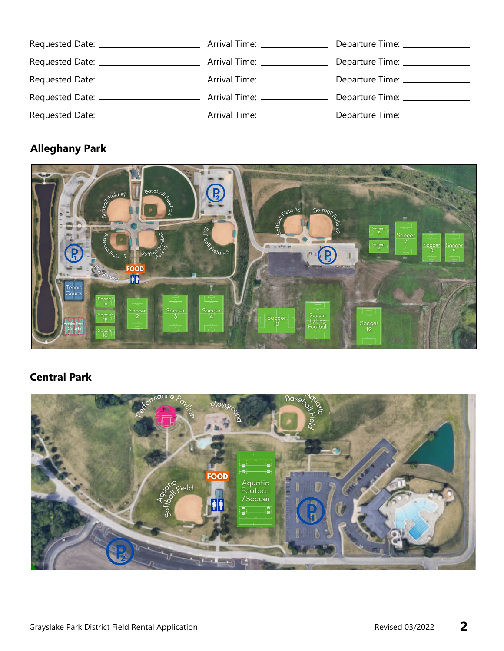|  | Departure Time: ________________  |
|--|-----------------------------------|
|  | Departure Time: _______________   |
|  |                                   |
|  |                                   |
|  | Departure Time: _________________ |

# **Alleghany Park**



# **Central Park**

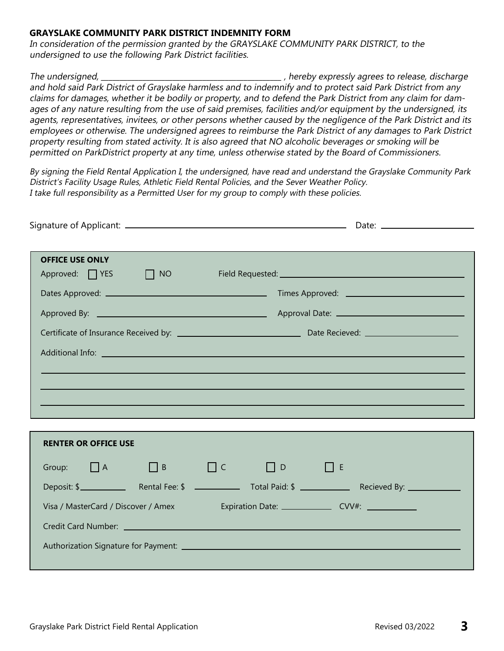#### **GRAYSLAKE COMMUNITY PARK DISTRICT INDEMNITY FORM**

In consideration of the permission granted by the GRAYSLAKE COMMUNITY PARK DISTRICT, to the undersigned to use the following Park District facilities.

The undersigned, the undersigned, the state of the state of the state of the state of the state of the state of the state of the state of the state of the state of the state of the state of the state of the state of the st and hold said Park District of Grayslake harmless and to indemnify and to protect said Park District from any claims for damages, whether it be bodily or property, and to defend the Park District from any claim for damages of any nature resulting from the use of said premises, facilities and/or equipment by the undersigned, its agents, representatives, invitees, or other persons whether caused by the negligence of the Park District and its employees or otherwise. The undersigned agrees to reimburse the Park District of any damages to Park District property resulting from stated activity. It is also agreed that NO alcoholic beverages or smoking will be permitted on ParkDistrict property at any time, unless otherwise stated by the Board of Commissioners.

By signing the Field Rental Application I, the undersigned, have read and understand the Grayslake Community Park District's Facility Usage Rules, Athletic Field Rental Policies, and the Sever Weather Policy. I take full responsibility as a Permitted User for my group to comply with these policies.

| Dates Approved: 2000 Contract Contract Contract Contract Contract Contract Contract Contract Contract Contract Contract Contract Contract Contract Contract Contract Contract Contract Contract Contract Contract Contract Con |
|--------------------------------------------------------------------------------------------------------------------------------------------------------------------------------------------------------------------------------|
|                                                                                                                                                                                                                                |
|                                                                                                                                                                                                                                |
|                                                                                                                                                                                                                                |
|                                                                                                                                                                                                                                |
|                                                                                                                                                                                                                                |
|                                                                                                                                                                                                                                |
|                                                                                                                                                                                                                                |
|                                                                                                                                                                                                                                |
| $\Box$ D $\Box$ E                                                                                                                                                                                                              |
|                                                                                                                                                                                                                                |
|                                                                                                                                                                                                                                |
| Expiration Date: ______________________ CVV#: _______________                                                                                                                                                                  |
|                                                                                                                                                                                                                                |

Authorization Signature for Payment: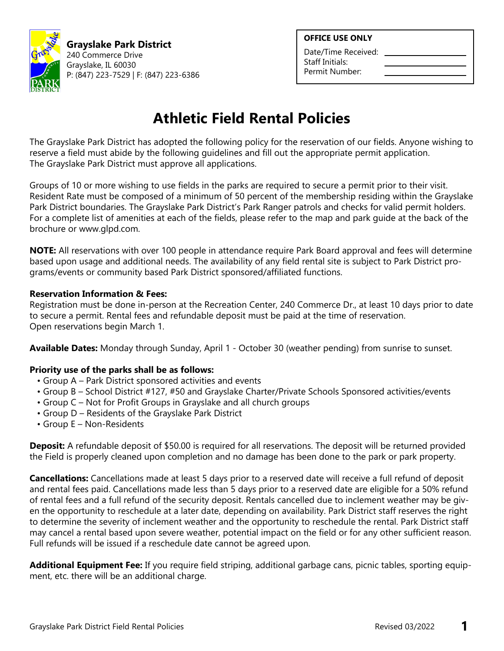

**Grayslake Park District** 240 Commerce Drive Grayslake, IL 60030 P: (847) 223-7529 | F: (847) 223-6386

#### **OFFICE USE ONLY**

Date/Time Received: Staff Initials: Permit Number:

# **Athletic Field Rental Policies**

The Grayslake Park District has adopted the following policy for the reservation of our fields. Anyone wishing to reserve a field must abide by the following guidelines and fill out the appropriate permit application. The Grayslake Park District must approve all applications.

Groups of 10 or more wishing to use fields in the parks are required to secure a permit prior to their visit. Resident Rate must be composed of a minimum of 50 percent of the membership residing within the Grayslake Park District boundaries. The Grayslake Park District's Park Ranger patrols and checks for valid permit holders. For a complete list of amenities at each of the fields, please refer to the map and park guide at the back of the brochure or www.glpd.com.

**NOTE:** All reservations with over 100 people in attendance require Park Board approval and fees will determine based upon usage and additional needs. The availability of any field rental site is subject to Park District programs/events or community based Park District sponsored/affiliated functions.

### **Reservation Information & Fees:**

Registration must be done in-person at the Recreation Center, 240 Commerce Dr., at least 10 days prior to date to secure a permit. Rental fees and refundable deposit must be paid at the time of reservation. Open reservations begin March 1.

**Available Dates:** Monday through Sunday, April 1 - October 30 (weather pending) from sunrise to sunset.

### **Priority use of the parks shall be as follows:**

- Group A Park District sponsored activities and events
- Group B School District #127, #50 and Grayslake Charter/Private Schools Sponsored activities/events
- Group C Not for Profit Groups in Grayslake and all church groups
- Group D Residents of the Grayslake Park District
- Group E Non-Residents

**Deposit:** A refundable deposit of \$50.00 is required for all reservations. The deposit will be returned provided the Field is properly cleaned upon completion and no damage has been done to the park or park property.

**Cancellations:** Cancellations made at least 5 days prior to a reserved date will receive a full refund of deposit and rental fees paid. Cancellations made less than 5 days prior to a reserved date are eligible for a 50% refund of rental fees and a full refund of the security deposit. Rentals cancelled due to inclement weather may be given the opportunity to reschedule at a later date, depending on availability. Park District staff reserves the right to determine the severity of inclement weather and the opportunity to reschedule the rental. Park District staff may cancel a rental based upon severe weather, potential impact on the field or for any other sufficient reason. Full refunds will be issued if a reschedule date cannot be agreed upon.

**Additional Equipment Fee:** If you require field striping, additional garbage cans, picnic tables, sporting equipment, etc. there will be an additional charge.